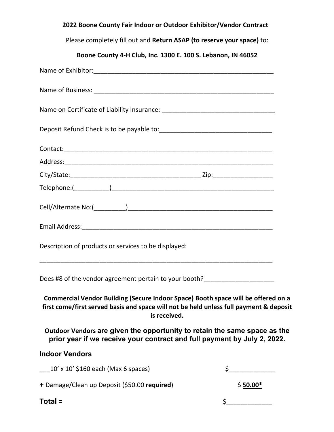| 2022 Boone County Fair Indoor or Outdoor Exhibitor/Vendor Contract                                                                                                                          |                                                                                                   |
|---------------------------------------------------------------------------------------------------------------------------------------------------------------------------------------------|---------------------------------------------------------------------------------------------------|
| Please completely fill out and Return ASAP (to reserve your space) to:                                                                                                                      |                                                                                                   |
| Boone County 4-H Club, Inc. 1300 E. 100 S. Lebanon, IN 46052                                                                                                                                |                                                                                                   |
|                                                                                                                                                                                             |                                                                                                   |
|                                                                                                                                                                                             |                                                                                                   |
|                                                                                                                                                                                             |                                                                                                   |
|                                                                                                                                                                                             |                                                                                                   |
|                                                                                                                                                                                             |                                                                                                   |
|                                                                                                                                                                                             |                                                                                                   |
|                                                                                                                                                                                             |                                                                                                   |
|                                                                                                                                                                                             |                                                                                                   |
|                                                                                                                                                                                             |                                                                                                   |
|                                                                                                                                                                                             |                                                                                                   |
| Description of products or services to be displayed:                                                                                                                                        |                                                                                                   |
| Does #8 of the vendor agreement pertain to your booth?__________________________                                                                                                            |                                                                                                   |
| Commercial Vendor Building (Secure Indoor Space) Booth space will be offered on a<br>first come/first served basis and space will not be held unless full payment & deposit<br>is received. |                                                                                                   |
| Outdoor Vendors are given the opportunity to retain the same space as the<br>prior year if we receive your contract and full payment by July 2, 2022.                                       |                                                                                                   |
| <b>Indoor Vendors</b>                                                                                                                                                                       |                                                                                                   |
| $10'$ x $10'$ \$160 each (Max 6 spaces)                                                                                                                                                     | $\zeta$                                                                                           |
| + Damage/Clean up Deposit (\$50.00 required)                                                                                                                                                | $$50.00*$                                                                                         |
| Total =                                                                                                                                                                                     | $\begin{array}{c c} \n5 & \phantom{1} & \phantom{1} & \phantom{1} & \phantom{1} \\ \n\end{array}$ |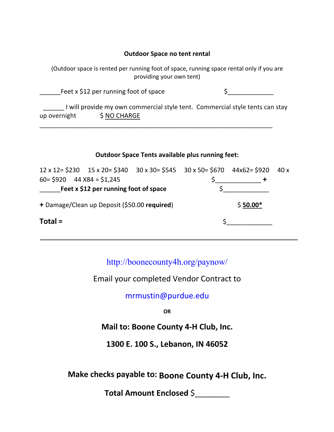## **Outdoor Space no tent rental**

(Outdoor space is rented per running foot of space, running space rental only if you are providing your own tent)

Feet x \$12 per running foot of space  $\qquad \qquad$ 

\_\_\_\_\_\_\_\_\_\_\_\_\_\_\_\_\_\_\_\_\_\_\_\_\_\_\_\_\_\_\_\_\_\_\_\_\_\_\_\_\_\_\_\_\_\_\_\_\_\_\_\_\_\_\_\_\_\_\_\_\_\_\_\_\_\_

I will provide my own commercial style tent. Commercial style tents can stay up overnight  $$ NO CHARGE$ 

## **Outdoor Space Tents available plus running feet:**

|                                              |  |           | $12 \times 12 = $230$ $15 \times 20 = $340$ $30 \times 30 = $545$ $30 \times 50 = $670$ $44 \times 62 = $920$ |  | 40x |
|----------------------------------------------|--|-----------|---------------------------------------------------------------------------------------------------------------|--|-----|
| $60 = $920$ 44 $X84 = $1,245$                |  |           |                                                                                                               |  |     |
| Feet x \$12 per running foot of space        |  |           |                                                                                                               |  |     |
| + Damage/Clean up Deposit (\$50.00 required) |  | $$50.00*$ |                                                                                                               |  |     |
| $Total =$                                    |  |           |                                                                                                               |  |     |

http://boonecounty4h.org/paynow/

Email your completed Vendor Contract to

mrmustin@purdue.edu

**OR**

**Mail to: Boone County 4-H Club, Inc.** 

**1300 E. 100 S., Lebanon, IN 46052**

**Make checks payable to: Boone County 4-H Club, Inc.** 

**Total Amount Enclosed** \$\_\_\_\_\_\_\_\_